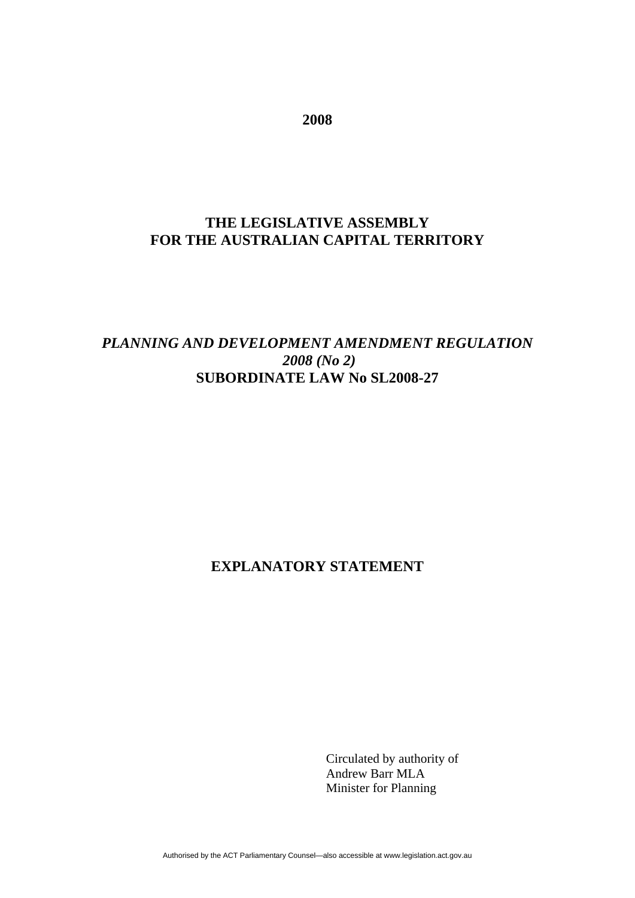**2008** 

# **THE LEGISLATIVE ASSEMBLY FOR THE AUSTRALIAN CAPITAL TERRITORY**

## *PLANNING AND DEVELOPMENT AMENDMENT REGULATION 2008 (No 2)* **SUBORDINATE LAW No SL2008-27**

## **EXPLANATORY STATEMENT**

Circulated by authority of Andrew Barr MLA Minister for Planning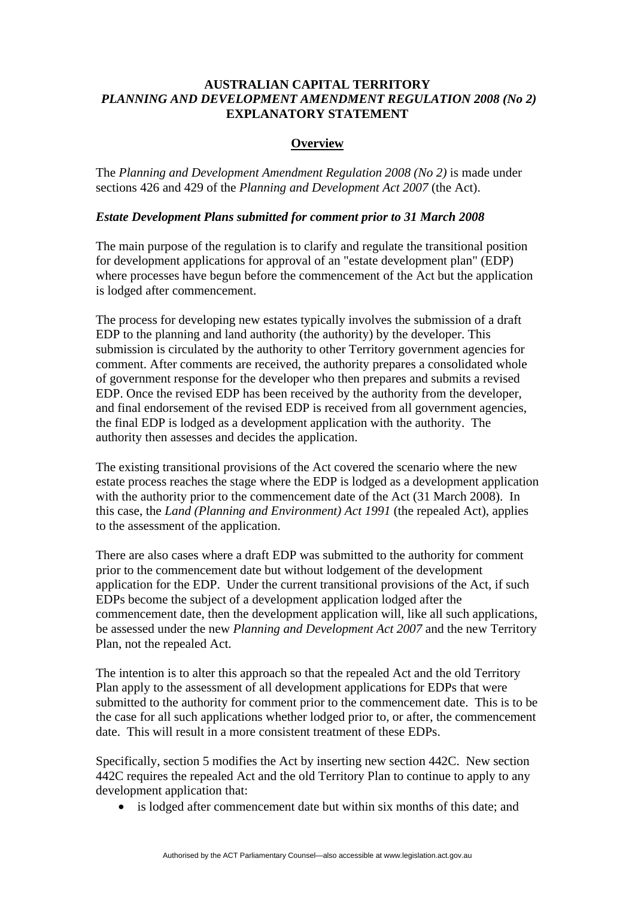## **AUSTRALIAN CAPITAL TERRITORY**  *PLANNING AND DEVELOPMENT AMENDMENT REGULATION 2008 (No 2)* **EXPLANATORY STATEMENT**

### **Overview**

The *Planning and Development Amendment Regulation 2008 (No 2)* is made under sections 426 and 429 of the *Planning and Development Act 2007* (the Act).

#### *Estate Development Plans submitted for comment prior to 31 March 2008*

The main purpose of the regulation is to clarify and regulate the transitional position for development applications for approval of an "estate development plan" (EDP) where processes have begun before the commencement of the Act but the application is lodged after commencement.

The process for developing new estates typically involves the submission of a draft EDP to the planning and land authority (the authority) by the developer. This submission is circulated by the authority to other Territory government agencies for comment. After comments are received, the authority prepares a consolidated whole of government response for the developer who then prepares and submits a revised EDP. Once the revised EDP has been received by the authority from the developer, and final endorsement of the revised EDP is received from all government agencies, the final EDP is lodged as a development application with the authority. The authority then assesses and decides the application.

The existing transitional provisions of the Act covered the scenario where the new estate process reaches the stage where the EDP is lodged as a development application with the authority prior to the commencement date of the Act (31 March 2008). In this case, the *Land (Planning and Environment) Act 1991* (the repealed Act), applies to the assessment of the application.

There are also cases where a draft EDP was submitted to the authority for comment prior to the commencement date but without lodgement of the development application for the EDP. Under the current transitional provisions of the Act, if such EDPs become the subject of a development application lodged after the commencement date, then the development application will, like all such applications, be assessed under the new *Planning and Development Act 2007* and the new Territory Plan, not the repealed Act.

The intention is to alter this approach so that the repealed Act and the old Territory Plan apply to the assessment of all development applications for EDPs that were submitted to the authority for comment prior to the commencement date. This is to be the case for all such applications whether lodged prior to, or after, the commencement date. This will result in a more consistent treatment of these EDPs.

Specifically, section 5 modifies the Act by inserting new section 442C. New section 442C requires the repealed Act and the old Territory Plan to continue to apply to any development application that:

• is lodged after commencement date but within six months of this date; and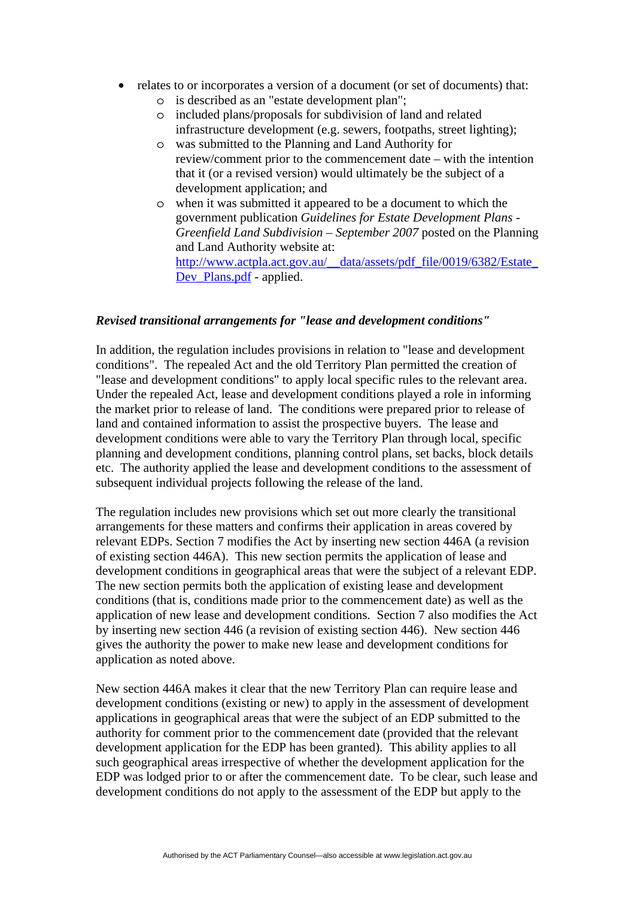- relates to or incorporates a version of a document (or set of documents) that:
	- o is described as an "estate development plan";
	- o included plans/proposals for subdivision of land and related infrastructure development (e.g. sewers, footpaths, street lighting);
	- o was submitted to the Planning and Land Authority for review/comment prior to the commencement date – with the intention that it (or a revised version) would ultimately be the subject of a development application; and
	- o when it was submitted it appeared to be a document to which the government publication *Guidelines for Estate Development Plans - Greenfield Land Subdivision – September 2007* posted on the Planning and Land Authority website at: [http://www.actpla.act.gov.au/\\_\\_data/assets/pdf\\_file/0019/6382/Estate\\_](http://www.actpla.act.gov.au/__data/assets/pdf_file/0019/6382/Estate_Dev_Plans.pdf) Dev Plans.pdf - applied.

#### *Revised transitional arrangements for "lease and development conditions"*

In addition, the regulation includes provisions in relation to "lease and development conditions". The repealed Act and the old Territory Plan permitted the creation of "lease and development conditions" to apply local specific rules to the relevant area. Under the repealed Act, lease and development conditions played a role in informing the market prior to release of land. The conditions were prepared prior to release of land and contained information to assist the prospective buyers. The lease and development conditions were able to vary the Territory Plan through local, specific planning and development conditions, planning control plans, set backs, block details etc. The authority applied the lease and development conditions to the assessment of subsequent individual projects following the release of the land.

The regulation includes new provisions which set out more clearly the transitional arrangements for these matters and confirms their application in areas covered by relevant EDPs. Section 7 modifies the Act by inserting new section 446A (a revision of existing section 446A). This new section permits the application of lease and development conditions in geographical areas that were the subject of a relevant EDP. The new section permits both the application of existing lease and development conditions (that is, conditions made prior to the commencement date) as well as the application of new lease and development conditions. Section 7 also modifies the Act by inserting new section 446 (a revision of existing section 446). New section 446 gives the authority the power to make new lease and development conditions for application as noted above.

New section 446A makes it clear that the new Territory Plan can require lease and development conditions (existing or new) to apply in the assessment of development applications in geographical areas that were the subject of an EDP submitted to the authority for comment prior to the commencement date (provided that the relevant development application for the EDP has been granted). This ability applies to all such geographical areas irrespective of whether the development application for the EDP was lodged prior to or after the commencement date. To be clear, such lease and development conditions do not apply to the assessment of the EDP but apply to the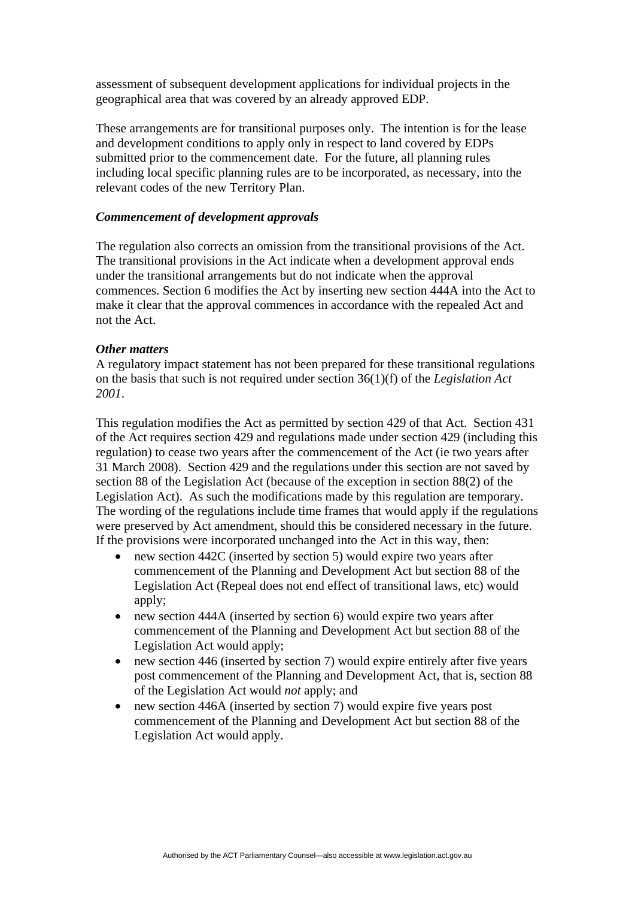assessment of subsequent development applications for individual projects in the geographical area that was covered by an already approved EDP.

These arrangements are for transitional purposes only. The intention is for the lease and development conditions to apply only in respect to land covered by EDPs submitted prior to the commencement date. For the future, all planning rules including local specific planning rules are to be incorporated, as necessary, into the relevant codes of the new Territory Plan.

#### *Commencement of development approvals*

The regulation also corrects an omission from the transitional provisions of the Act. The transitional provisions in the Act indicate when a development approval ends under the transitional arrangements but do not indicate when the approval commences. Section 6 modifies the Act by inserting new section 444A into the Act to make it clear that the approval commences in accordance with the repealed Act and not the Act.

#### *Other matters*

A regulatory impact statement has not been prepared for these transitional regulations on the basis that such is not required under section 36(1)(f) of the *Legislation Act 2001*.

This regulation modifies the Act as permitted by section 429 of that Act. Section 431 of the Act requires section 429 and regulations made under section 429 (including this regulation) to cease two years after the commencement of the Act (ie two years after 31 March 2008). Section 429 and the regulations under this section are not saved by section 88 of the Legislation Act (because of the exception in section 88(2) of the Legislation Act). As such the modifications made by this regulation are temporary. The wording of the regulations include time frames that would apply if the regulations were preserved by Act amendment, should this be considered necessary in the future. If the provisions were incorporated unchanged into the Act in this way, then:

- new section 442C (inserted by section 5) would expire two years after commencement of the Planning and Development Act but section 88 of the Legislation Act (Repeal does not end effect of transitional laws, etc) would apply;
- new section 444A (inserted by section 6) would expire two years after commencement of the Planning and Development Act but section 88 of the Legislation Act would apply;
- new section 446 (inserted by section 7) would expire entirely after five years post commencement of the Planning and Development Act, that is, section 88 of the Legislation Act would *not* apply; and
- new section 446A (inserted by section 7) would expire five years post commencement of the Planning and Development Act but section 88 of the Legislation Act would apply.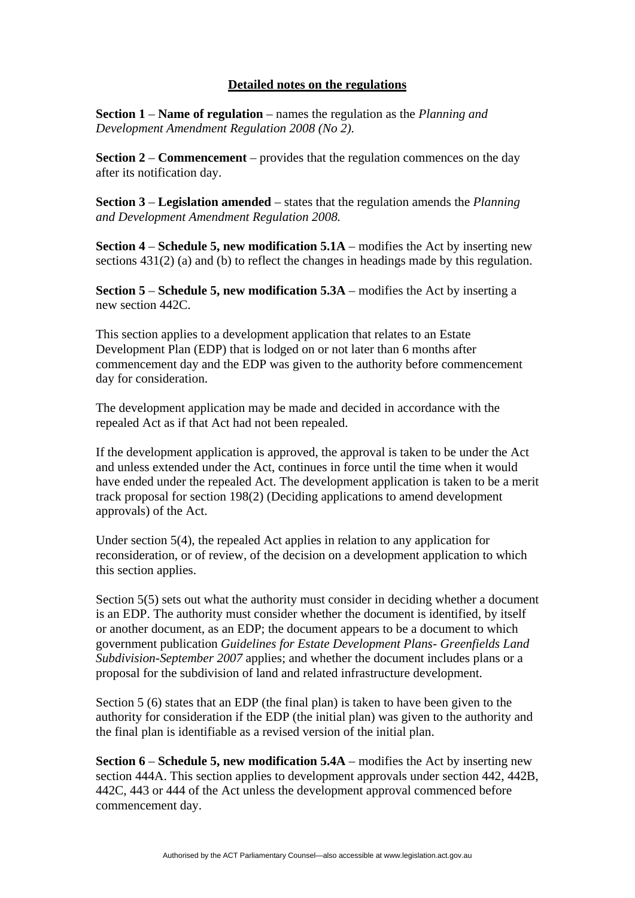## **Detailed notes on the regulations**

**Section 1** – **Name of regulation** – names the regulation as the *Planning and Development Amendment Regulation 2008 (No 2).* 

**Section 2** – **Commencement** – provides that the regulation commences on the day after its notification day.

**Section 3** – **Legislation amended** – states that the regulation amends the *Planning and Development Amendment Regulation 2008.* 

**Section 4** – **Schedule 5, new modification 5.1A** – modifies the Act by inserting new sections 431(2) (a) and (b) to reflect the changes in headings made by this regulation.

**Section 5** – **Schedule 5, new modification 5.3A** – modifies the Act by inserting a new section 442C.

This section applies to a development application that relates to an Estate Development Plan (EDP) that is lodged on or not later than 6 months after commencement day and the EDP was given to the authority before commencement day for consideration.

The development application may be made and decided in accordance with the repealed Act as if that Act had not been repealed.

If the development application is approved, the approval is taken to be under the Act and unless extended under the Act, continues in force until the time when it would have ended under the repealed Act. The development application is taken to be a merit track proposal for section 198(2) (Deciding applications to amend development approvals) of the Act.

Under section 5(4), the repealed Act applies in relation to any application for reconsideration, or of review, of the decision on a development application to which this section applies.

Section 5(5) sets out what the authority must consider in deciding whether a document is an EDP. The authority must consider whether the document is identified, by itself or another document, as an EDP; the document appears to be a document to which government publication *Guidelines for Estate Development Plans- Greenfields Land Subdivision-September 2007* applies; and whether the document includes plans or a proposal for the subdivision of land and related infrastructure development.

Section 5 (6) states that an EDP (the final plan) is taken to have been given to the authority for consideration if the EDP (the initial plan) was given to the authority and the final plan is identifiable as a revised version of the initial plan.

**Section 6** – **Schedule 5, new modification 5.4A** – modifies the Act by inserting new section 444A. This section applies to development approvals under section 442, 442B, 442C, 443 or 444 of the Act unless the development approval commenced before commencement day.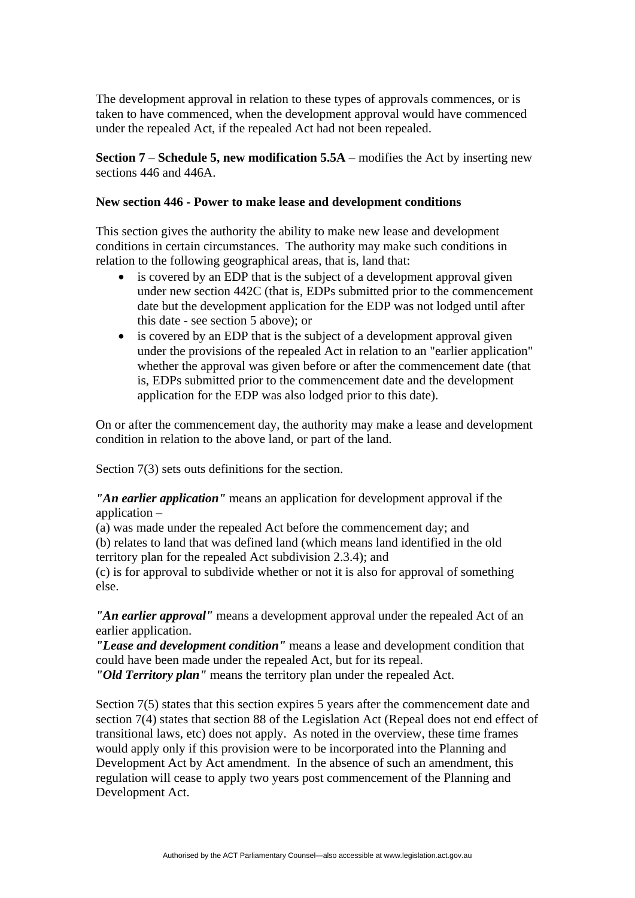The development approval in relation to these types of approvals commences, or is taken to have commenced, when the development approval would have commenced under the repealed Act, if the repealed Act had not been repealed.

**Section 7** – **Schedule 5, new modification 5.5A** – modifies the Act by inserting new sections 446 and 446A.

#### **New section 446 - Power to make lease and development conditions**

This section gives the authority the ability to make new lease and development conditions in certain circumstances. The authority may make such conditions in relation to the following geographical areas, that is, land that:

- is covered by an EDP that is the subject of a development approval given under new section 442C (that is, EDPs submitted prior to the commencement date but the development application for the EDP was not lodged until after this date - see section 5 above); or
- is covered by an EDP that is the subject of a development approval given under the provisions of the repealed Act in relation to an "earlier application" whether the approval was given before or after the commencement date (that is, EDPs submitted prior to the commencement date and the development application for the EDP was also lodged prior to this date).

On or after the commencement day, the authority may make a lease and development condition in relation to the above land, or part of the land.

Section 7(3) sets outs definitions for the section.

*"An earlier application"* means an application for development approval if the application –

(a) was made under the repealed Act before the commencement day; and (b) relates to land that was defined land (which means land identified in the old territory plan for the repealed Act subdivision 2.3.4); and

(c) is for approval to subdivide whether or not it is also for approval of something else.

*"An earlier approval"* means a development approval under the repealed Act of an earlier application.

*"Lease and development condition"* means a lease and development condition that could have been made under the repealed Act, but for its repeal.

*"Old Territory plan"* means the territory plan under the repealed Act.

Section 7(5) states that this section expires 5 years after the commencement date and section 7(4) states that section 88 of the Legislation Act (Repeal does not end effect of transitional laws, etc) does not apply. As noted in the overview, these time frames would apply only if this provision were to be incorporated into the Planning and Development Act by Act amendment. In the absence of such an amendment, this regulation will cease to apply two years post commencement of the Planning and Development Act.